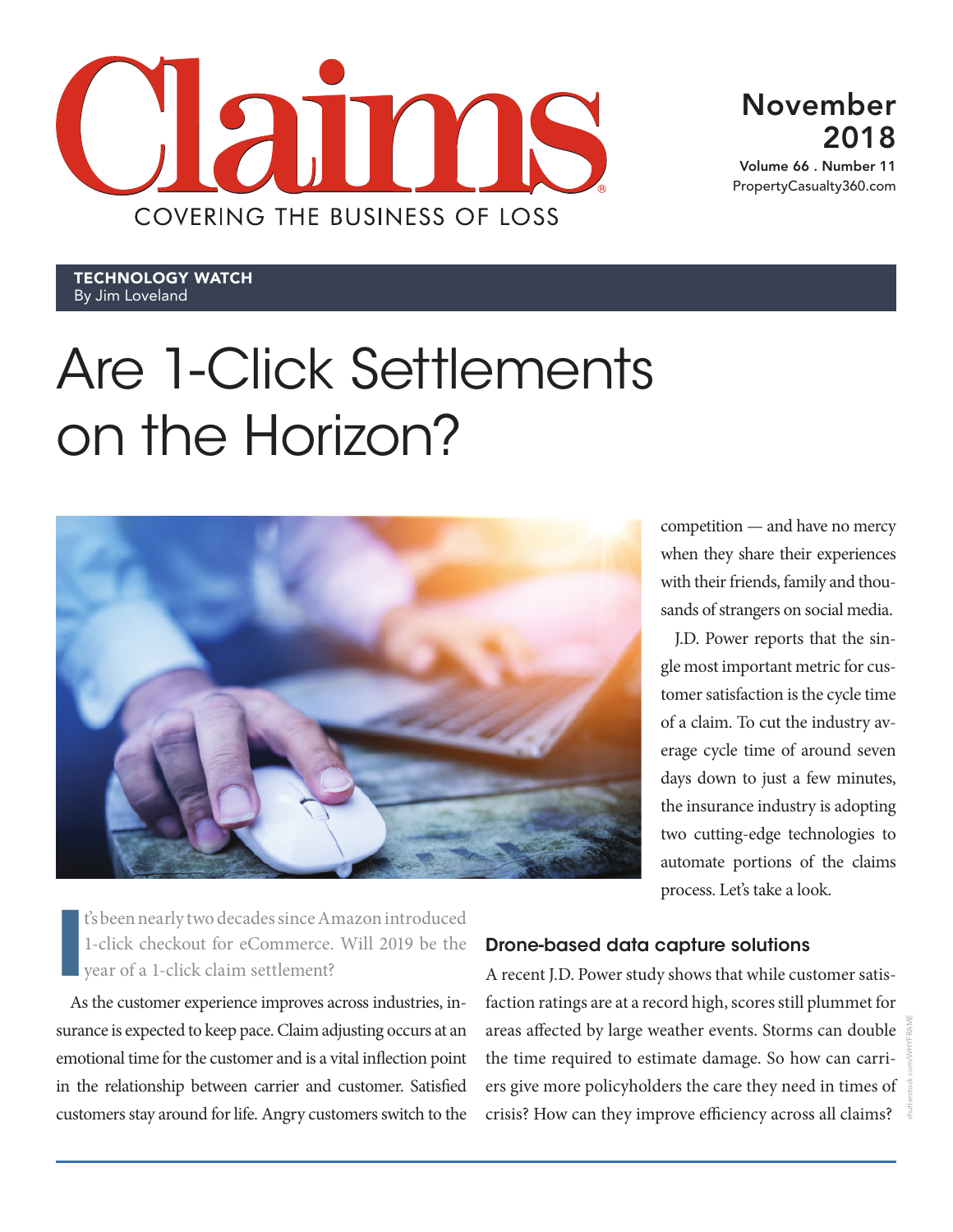

November 2018

Volume 66 . Number 11 PropertyCasualty360.com

Technology Watch By Jim Loveland

# Are 1-Click Settlements on the Horizon?



competition — and have no mercy when they share their experiences with their friends, family and thousands of strangers on social media.

J.D. Power reports that the single most important metric for customer satisfaction is the cycle time of a claim. To cut the industry average cycle time of around seven days down to just a few minutes, the insurance industry is adopting two cutting-edge technologies to automate portions of the claims process. Let's take a look.

**I** t's been nearly two decades since Amazon introduced 1-click checkout for eCommerce. Will 2019 be the year of a 1-click claim settlement?

As the customer experience improves across industries, insurance is expected to keep pace. Claim adjusting occurs at an emotional time for the customer and is a vital inflection point in the relationship between carrier and customer. Satisfied customers stay around for life. Angry customers switch to the

## Drone-based data capture solutions

A recent J.D. Power study shows that while customer satisfaction ratings are at a record high, scores still plummet for areas affected by large weather events. Storms can double the time required to estimate damage. So how can carriers give more policyholders the care they need in times of crisis? How can they improve efficiency across all claims?